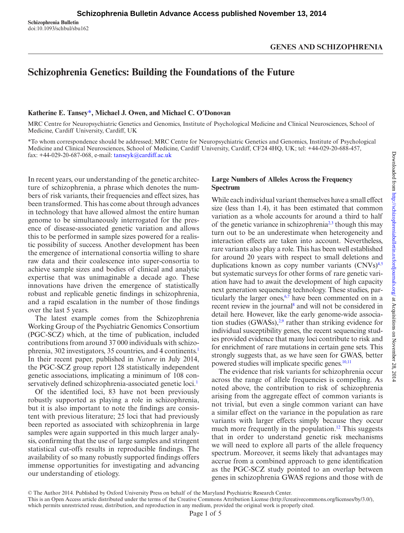**Schizophrenia Bulletin**  doi:10.1093/schbul/sbu162

# **Schizophrenia Genetics: Building the Foundations of the Future**

**Katherine E. Tanse[y\\*](#page-0-0), Michael J. Owen, and Michael C. O'Donovan**

MRC Centre for Neuropsychiatric Genetics and Genomics, Institute of Psychological Medicine and Clinical Neurosciences, School of Medicine, Cardiff University, Cardiff, UK

<span id="page-0-0"></span>\*To whom correspondence should be addressed; MRC Centre for Neuropsychiatric Genetics and Genomics, Institute of Psychological Medicine and Clinical Neurosciences, School of Medicine, Cardiff University, Cardiff, CF24 4HQ, UK; tel: +44-029-20-688-457, fax: +44-029-20-687-068, e-mail: [tanseyk@cardiff.ac.uk](mailto:tanseyk@cardiff.ac.uk?subject=)

In recent years, our understanding of the genetic architecture of schizophrenia, a phrase which denotes the numbers of risk variants, their frequencies and effect sizes, has been transformed. This has come about through advances in technology that have allowed almost the entire human genome to be simultaneously interrogated for the presence of disease-associated genetic variation and allows this to be performed in sample sizes powered for a realistic possibility of success. Another development has been the emergence of international consortia willing to share raw data and their coalescence into super-consortia to achieve sample sizes and bodies of clinical and analytic expertise that was unimaginable a decade ago. These innovations have driven the emergence of statistically robust and replicable genetic findings in schizophrenia, and a rapid escalation in the number of those findings over the last 5 years.

The latest example comes from the Schizophrenia Working Group of the Psychiatric Genomics Consortium (PGC-SCZ) which, at the time of publication, included contributions from around 37 000 individuals with schizophrenia, 302 investigators, 35 countries, and 4 continents.<sup>1</sup> In their recent paper, published in *Nature* in July 2014, the PGC-SCZ group report 128 statistically independent genetic associations, implicating a minimum of 108 conservatively defined schizophrenia-associated genetic loci.<sup>1</sup>

Of the identified loci, 83 have not been previously robustly supported as playing a role in schizophrenia, but it is also important to note the findings are consistent with previous literature; 25 loci that had previously been reported as associated with schizophrenia in large samples were again supported in this much larger analysis, confirming that the use of large samples and stringent statistical cut-offs results in reproducible findings. The availability of so many robustly supported findings offers immense opportunities for investigating and advancing our understanding of etiology.

### **Large Numbers of Alleles Across the Frequency Spectrum**

While each individual variant themselves have a small effect size (less than 1.4), it has been estimated that common variation as a whole accounts for around a third to half of the genetic variance in schizophrenia<sup>[2,](#page-3-1)[3](#page-3-2)</sup> though this may turn out to be an underestimate when heterogeneity and interaction effects are taken into account. Nevertheless, rare variants also play a role. This has been well established for around 20 years with respect to small deletions and duplications known as copy number variants  $(CNVs)^{4,5}$  $(CNVs)^{4,5}$  $(CNVs)^{4,5}$ but systematic surveys for other forms of rare genetic variation have had to await the development of high capacity next generation sequencing technology. These studies, particularly the larger ones,  $6,7$  $6,7$  have been commented on in a recent review in the journal<sup>8</sup> and will not be considered in detail here. However, like the early genome-wide association studies  $(GWASs)$ ,<sup>[2,](#page-3-1)[9](#page-3-8)</sup> rather than striking evidence for individual susceptibility genes, the recent sequencing studies provided evidence that many loci contribute to risk and for enrichment of rare mutations in certain gene sets. This strongly suggests that, as we have seen for GWAS, better powered studies will implicate specific genes.<sup>10,[11](#page-3-10)</sup>

The evidence that risk variants for schizophrenia occur across the range of allele frequencies is compelling. As noted above, the contribution to risk of schizophrenia arising from the aggregate effect of common variants is not trivial, but even a single common variant can have a similar effect on the variance in the population as rare variants with larger effects simply because they occur much more frequently in the population.<sup>12</sup> This suggests that in order to understand genetic risk mechanisms we will need to explore all parts of the allele frequency spectrum. Moreover, it seems likely that advantages may accrue from a combined approach to gene identification as the PGC-SCZ study pointed to an overlap between genes in schizophrenia GWAS regions and those with de

© The Author 2014. Published by Oxford University Press on behalf of the Maryland Psychiatric Research Center.

Downloaded from http://schizophreniabulletin.oxfordjournals.org/ at Acquisitions on November 28 Downloaded from <http://schizophreniabulletin.oxfordjournals.org/> at Acquisitions on November 28, 2014  $.2014$ 

This is an Open Access article distributed under the terms of the Creative Commons Attribution License (http://creativecommons.org/licenses/by/3.0/), which permits unrestricted reuse, distribution, and reproduction in any medium, provided the original work is properly cited.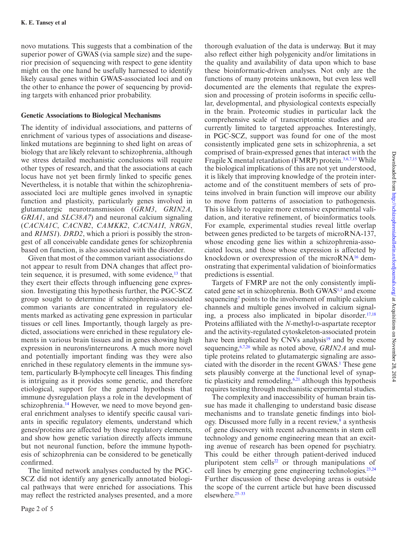novo mutations. This suggests that a combination of the superior power of GWAS (via sample size) and the superior precision of sequencing with respect to gene identity might on the one hand be usefully harnessed to identify likely causal genes within GWAS-associated loci and on the other to enhance the power of sequencing by providing targets with enhanced prior probability.

#### **Genetic Associations to Biological Mechanisms**

The identity of individual associations, and patterns of enrichment of various types of associations and diseaselinked mutations are beginning to shed light on areas of biology that are likely relevant to schizophrenia, although we stress detailed mechanistic conclusions will require other types of research, and that the associations at each locus have not yet been firmly linked to specific genes. Nevertheless, it is notable that within the schizophreniaassociated loci are multiple genes involved in synaptic function and plasticity, particularly genes involved in glutamatergic neurotransmission (*GRM3*, *GRIN2A*, *GRIA1*, and *SLC38A7*) and neuronal calcium signaling (*CACNA1C*, *CACNB2*, *CAMKK2*, *CACNA1I*, *NRGN*, and *RIMS1*). *DRD2*, which a priori is possibly the strongest of all conceivable candidate genes for schizophrenia based on function, is also associated with the disorder.

Given that most of the common variant associations do not appear to result from DNA changes that affect protein sequence, it is presumed, with some evidence, $^{13}$  that they exert their effects through influencing gene expression. Investigating this hypothesis further, the PGC-SCZ group sought to determine if schizophrenia-associated common variants are concentrated in regulatory elements marked as activating gene expression in particular tissues or cell lines. Importantly, though largely as predicted, associations were enriched in these regulatory elements in various brain tissues and in genes showing high expression in neurons/interneurons. A much more novel and potentially important finding was they were also enriched in these regulatory elements in the immune system, particularly B-lymphocyte cell lineages. This finding is intriguing as it provides some genetic, and therefore etiological, support for the general hypothesis that immune dysregulation plays a role in the development of schizophrenia.<sup>14</sup> However, we need to move beyond general enrichment analyses to identify specific causal variants in specific regulatory elements, understand which genes/proteins are affected by those regulatory elements, and show how genetic variation directly affects immune but not neuronal function, before the immune hypothesis of schizophrenia can be considered to be genetically confirmed.

The limited network analyses conducted by the PGC-SCZ did not identify any generically annotated biological pathways that were enriched for associations. This may reflect the restricted analyses presented, and a more thorough evaluation of the data is underway. But it may also reflect either high polygenicity and/or limitations in the quality and availability of data upon which to base these bioinformatic-driven analyses. Not only are the functions of many proteins unknown, but even less well documented are the elements that regulate the expression and processing of protein isoforms in specific cellular, developmental, and physiological contexts especially in the brain. Proteomic studies in particular lack the comprehensive scale of transcriptomic studies and are currently limited to targeted approaches. Interestingly, in PGC-SCZ, support was found for one of the most consistently implicated gene sets in schizophrenia, a set comprised of brain-expressed genes that interact with the Fragile X mental retardation (FMRP) protein.<sup>3[,6](#page-3-5),[7,](#page-3-6)15</sup> While the biological implications of this are not yet understood, it is likely that improving knowledge of the protein interactome and of the constituent members of sets of proteins involved in brain function will improve our ability to move from patterns of association to pathogenesis. This is likely to require more extensive experimental validation, and iterative refinement, of bioinformatics tools. For example, experimental studies reveal little overlap between genes predicted to be targets of microRNA-137, whose encoding gene lies within a schizophrenia-associated locus, and those whose expression is affected by knockdown or overexpression of the microRNA<sup>16</sup> demonstrating that experimental validation of bioinformatics predictions is essential.

Targets of FMRP are not the only consistently impli-cated gene set in schizophrenia. Both GWAS<sup>[1,](#page-3-0)[3](#page-3-2)</sup> and exome sequencing<sup>7</sup> points to the involvement of multiple calcium channels and multiple genes involved in calcium signal-ing, a process also implicated in bipolar disorder.<sup>17,[18](#page-3-17)</sup> Proteins affiliated with the *N*-methyl-p-aspartate receptor and the activity-regulated cytoskeleton-associated protein have been implicated by CNVs analysis $19$  and by exome sequencing,<sup>6,[7,](#page-3-6)20</sup> while as noted above, *GRIN2A* and multiple proteins related to glutamatergic signaling are associated with the disorder in the recent GWAS.<sup>1</sup> These gene sets plausibly converge at the functional level of synaptic plasticity and remodeling,  $6,21$  $6,21$  although this hypothesis requires testing through mechanistic experimental studies.

The complexity and inaccessibility of human brain tissue has made it challenging to understand basic disease mechanisms and to translate genetic findings into biol-ogy. Discussed more fully in a recent review,<sup>[8](#page-3-7)</sup> a synthesis of gene discovery with recent advancements in stem cell technology and genome engineering mean that an exciting avenue of research has been opened for psychiatry. This could be either through patient-derived induced pluripotent stem cells $^{22}$  $^{22}$  $^{22}$  or through manipulations of cell lines by emerging gene engineering technologies.<sup>[23](#page-3-22),[24](#page-3-23)</sup> Further discussion of these developing areas is outside the scope of the current article but have been discussed elsewhere[.25–33](#page-3-24)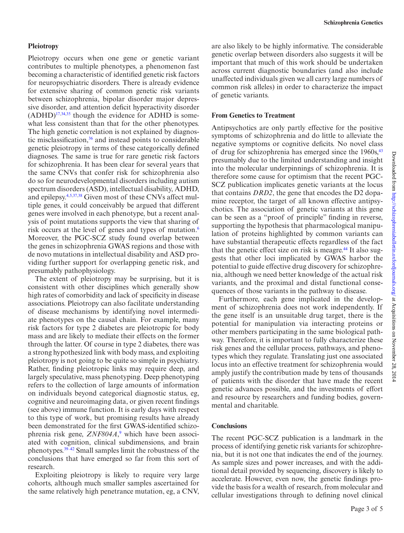#### **Pleiotropy**

Pleiotropy occurs when one gene or genetic variant contributes to multiple phenotypes, a phenomenon fast becoming a characteristic of identified genetic risk factors for neuropsychiatric disorders. There is already evidence for extensive sharing of common genetic risk variants between schizophrenia, bipolar disorder major depressive disorder, and attention deficit hyperactivity disorder  $(ADHD)^{17,34,35}$  $(ADHD)^{17,34,35}$  $(ADHD)^{17,34,35}$  though the evidence for ADHD is somewhat less consistent than that for the other phenotypes. The high genetic correlation is not explained by diagnostic misclassification,<sup>36</sup> and instead points to considerable genetic pleiotropy in terms of these categorically defined diagnoses. The same is true for rare genetic risk factors for schizophrenia. It has been clear for several years that the same CNVs that confer risk for schizophrenia also do so for neurodevelopmental disorders including autism spectrum disorders (ASD), intellectual disability, ADHD, and epilepsy.[4](#page-3-3)[,5,](#page-3-4)[37](#page-4-3),[38](#page-4-4) Given most of these CNVs affect multiple genes, it could conceivably be argued that different genes were involved in each phenotype, but a recent analysis of point mutations supports the view that sharing of risk occurs at the level of genes and types of mutation.<sup>[6](#page-3-5)</sup> Moreover, the PGC-SCZ study found overlap between the genes in schizophrenia GWAS regions and those with de novo mutations in intellectual disability and ASD providing further support for overlapping genetic risk, and presumably pathophysiology.

The extent of pleiotropy may be surprising, but it is consistent with other disciplines which generally show high rates of comorbidity and lack of specificity in disease associations. Pleiotropy can also facilitate understanding of disease mechanisms by identifying novel intermediate phenotypes on the causal chain. For example, many risk factors for type 2 diabetes are pleiotropic for body mass and are likely to mediate their effects on the former through the latter. Of course in type 2 diabetes, there was a strong hypothesized link with body mass, and exploiting pleiotropy is not going to be quite so simple in psychiatry. Rather, finding pleiotropic links may require deep, and largely speculative, mass phenotyping. Deep phenotyping refers to the collection of large amounts of information on individuals beyond categorical diagnostic status, eg, cognitive and neuroimaging data, or given recent findings (see above) immune function. It is early days with respect to this type of work, but promising results have already been demonstrated for the first GWAS-identified schizophrenia risk gene, *ZNF804A*, [9](#page-3-8) which have been associated with cognition, clinical subdimensions, and brain phenotypes[.39–42](#page-4-5) Small samples limit the robustness of the conclusions that have emerged so far from this sort of research.

Exploiting pleiotropy is likely to require very large cohorts, although much smaller samples ascertained for the same relatively high penetrance mutation, eg, a CNV,

are also likely to be highly informative. The considerable genetic overlap between disorders also suggests it will be important that much of this work should be undertaken across current diagnostic boundaries (and also include unaffected individuals given we all carry large numbers of common risk alleles) in order to characterize the impact of genetic variants.

#### **From Genetics to Treatment**

Antipsychotics are only partly effective for the positive symptoms of schizophrenia and do little to alleviate the negative symptoms or cognitive deficits. No novel class of drug for schizophrenia has emerged since the  $1960s<sub>1</sub><sup>43</sup>$  $1960s<sub>1</sub><sup>43</sup>$  $1960s<sub>1</sub><sup>43</sup>$ presumably due to the limited understanding and insight into the molecular underpinnings of schizophrenia. It is therefore some cause for optimism that the recent PGC-SCZ publication implicates genetic variants at the locus that contains *DRD2*, the gene that encodes the D2 dopamine receptor, the target of all known effective antipsychotics. The association of genetic variants at this gene can be seen as a "proof of principle" finding in reverse, supporting the hypothesis that pharmacological manipulation of proteins highlighted by common variants can have substantial therapeutic effects regardless of the fact that the genetic effect size on risk is meagre.<sup>44</sup> It also suggests that other loci implicated by GWAS harbor the potential to guide effective drug discovery for schizophrenia, although we need better knowledge of the actual risk variants, and the proximal and distal functional consequences of those variants in the pathway to disease.

Furthermore, each gene implicated in the development of schizophrenia does not work independently. If the gene itself is an unsuitable drug target, there is the potential for manipulation via interacting proteins or other members participating in the same biological pathway. Therefore, it is important to fully characterize these risk genes and the cellular process, pathways, and phenotypes which they regulate. Translating just one associated locus into an effective treatment for schizophrenia would amply justify the contribution made by tens of thousands of patients with the disorder that have made the recent genetic advances possible, and the investments of effort and resource by researchers and funding bodies, governmental and charitable.

#### **Conclusions**

The recent PGC-SCZ publication is a landmark in the process of identifying genetic risk variants for schizophrenia, but it is not one that indicates the end of the journey. As sample sizes and power increases, and with the additional detail provided by sequencing, discovery is likely to accelerate. However, even now, the genetic findings provide the basis for a wealth of research, from molecular and cellular investigations through to defining novel clinical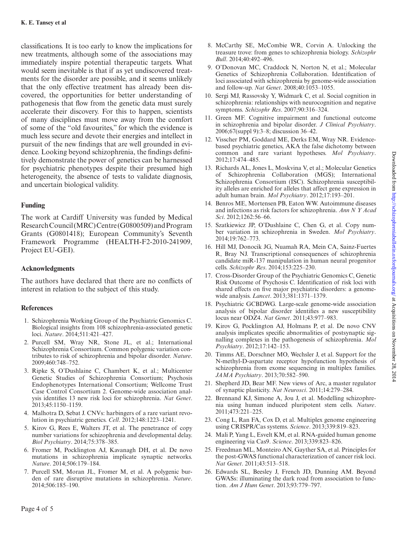classifications. It is too early to know the implications for new treatments, although some of the associations may immediately inspire potential therapeutic targets. What would seem inevitable is that if as yet undiscovered treatments for the disorder are possible, and it seems unlikely that the only effective treatment has already been discovered, the opportunities for better understanding of pathogenesis that flow from the genetic data must surely accelerate their discovery. For this to happen, scientists of many disciplines must move away from the comfort of some of the "old favourites," for which the evidence is much less secure and devote their energies and intellect in pursuit of the new findings that are well grounded in evidence. Looking beyond schizophrenia, the findings definitively demonstrate the power of genetics can be harnessed for psychiatric phenotypes despite their presumed high heterogeneity, the absence of tests to validate diagnosis, and uncertain biological validity.

## **Funding**

The work at Cardiff University was funded by Medical Research Council (MRC) Centre (G0800509) and Program Grants (G0801418); European Community's Seventh Framework Programme (HEALTH-F2-2010-241909, Project EU-GEI).

# **Acknowledgments**

The authors have declared that there are no conflicts of interest in relation to the subject of this study.

# **References**

- <span id="page-3-0"></span>1. Schizophrenia Working Group of the Psychiatric Genomics C. Biological insights from 108 schizophrenia-associated genetic loci. *Nature*. 2014;511:421–427.
- <span id="page-3-1"></span>2. Purcell SM, Wray NR, Stone JL, et al.; International Schizophrenia Consortium. Common polygenic variation contributes to risk of schizophrenia and bipolar disorder. *Nature*. 2009;460:748–752.
- <span id="page-3-2"></span>3. Ripke S, O'Dushlaine C, Chambert K, et al.; Multicenter Genetic Studies of Schizophrenia Consortium; Psychosis Endophenotypes International Consortium; Wellcome Trust Case Control Consortium 2. Genome-wide association analysis identifies 13 new risk loci for schizophrenia. *Nat Genet*. 2013;45:1150–1159.
- <span id="page-3-3"></span>4. Malhotra D, Sebat J. CNVs: harbingers of a rare variant revolution in psychiatric genetics. *Cell*. 2012;148:1223–1241.
- <span id="page-3-4"></span>5. Kirov G, Rees E, Walters JT, et al. The penetrance of copy number variations for schizophrenia and developmental delay. *Biol Psychiatry*. 2014;75:378–385.
- <span id="page-3-5"></span>6. Fromer M, Pocklington AJ, Kavanagh DH, et al. De novo mutations in schizophrenia implicate synaptic networks. *Nature*. 2014;506:179–184.
- <span id="page-3-6"></span>7. Purcell SM, Moran JL, Fromer M, et al. A polygenic burden of rare disruptive mutations in schizophrenia. *Nature*. 2014;506:185–190.
- <span id="page-3-7"></span>8. McCarthy SE, McCombie WR, Corvin A. Unlocking the treasure trove: from genes to schizophrenia biology. *Schizophr Bull*. 2014;40:492–496.
- <span id="page-3-8"></span>9. O'Donovan MC, Craddock N, Norton N, et al.; Molecular Genetics of Schizophrenia Collaboration. Identification of loci associated with schizophrenia by genome-wide association and follow-up. *Nat Genet*. 2008;40:1053–1055.
- <span id="page-3-9"></span>10. Sergi MJ, Rassovsky Y, Widmark C, et al. Social cognition in schizophrenia: relationships with neurocognition and negative symptoms. *Schizophr Res*. 2007;90:316–324.
- <span id="page-3-10"></span>11. Green MF. Cognitive impairment and functional outcome in schizophrenia and bipolar disorder. *J Clinical Psychiatry*. 2006;67(suppl 9):3–8; discussion 36–42.
- <span id="page-3-11"></span>12. Visscher PM, Goddard ME, Derks EM, Wray NR. Evidencebased psychiatric genetics, AKA the false dichotomy between common and rare variant hypotheses. *Mol Psychiatry*. 2012;17:474–485.
- <span id="page-3-12"></span>13. Richards AL, Jones L, Moskvina V, et al.; Molecular Genetics of Schizophrenia Collaboration (MGS); International Schizophrenia Consortium (ISC). Schizophrenia susceptibility alleles are enriched for alleles that affect gene expression in adult human brain. *Mol Psychiatry*. 2012;17:193–201.
- <span id="page-3-13"></span>14. Benros ME, Mortensen PB, Eaton WW. Autoimmune diseases and infections as risk factors for schizophrenia. *Ann N Y Acad Sci*. 2012;1262:56–66.
- <span id="page-3-14"></span>15. Szatkiewicz JP, O'Dushlaine C, Chen G, et al. Copy number variation in schizophrenia in Sweden. *Mol Psychiatry*. 2014;19:762–773.
- <span id="page-3-15"></span>16. Hill MJ, Donocik JG, Nuamah RA, Mein CA, Sainz-Fuertes R, Bray NJ. Transcriptional consequences of schizophrenia candidate miR-137 manipulation in human neural progenitor cells. *Schizophr Res*. 2014;153:225–230.
- <span id="page-3-16"></span>17. Cross-Disorder Group of the Psychiatric Genomics C, Genetic Risk Outcome of Psychosis C. Identification of risk loci with shared effects on five major psychiatric disorders: a genomewide analysis. *Lancet*. 2013;381:1371–1379.
- <span id="page-3-17"></span>18. Psychiatric GCBDWG. Large-scale genome-wide association analysis of bipolar disorder identifies a new susceptibility locus near ODZ4. *Nat Genet*. 2011;43:977–983.
- <span id="page-3-18"></span>19. Kirov G, Pocklington AJ, Holmans P, et al. De novo CNV analysis implicates specific abnormalities of postsynaptic signalling complexes in the pathogenesis of schizophrenia. *Mol Psychiatry*. 2012;17:142–153.
- <span id="page-3-19"></span>20. Timms AE, Dorschner MO, Wechsler J, et al. Support for the N-methyl-D-aspartate receptor hypofunction hypothesis of schizophrenia from exome sequencing in multiplex families. *JAMA Psychiatry*. 2013;70:582–590.
- <span id="page-3-20"></span>21. Shepherd JD, Bear MF. New views of Arc, a master regulator of synaptic plasticity. *Nat Neurosci*. 2011;14:279–284.
- <span id="page-3-21"></span>22. Brennand KJ, Simone A, Jou J, et al. Modelling schizophrenia using human induced pluripotent stem cells. *Nature*. 2011;473:221–225.
- <span id="page-3-22"></span>23. Cong L, Ran FA, Cox D, et al. Multiplex genome engineering using CRISPR/Cas systems. *Science*. 2013;339:819–823.
- <span id="page-3-23"></span>24. Mali P, Yang L, Esvelt KM, et al. RNA-guided human genome engineering via Cas9. *Science*. 2013;339:823–826.
- <span id="page-3-24"></span>25. Freedman ML, Monteiro AN, Gayther SA, et al. Principles for the post-GWAS functional characterization of cancer risk loci. *Nat Genet*. 2011;43:513–518.
- 26. Edwards SL, Beesley J, French JD, Dunning AM. Beyond GWASs: illuminating the dark road from association to function. *Am J Hum Genet*. 2013;93:779–797.